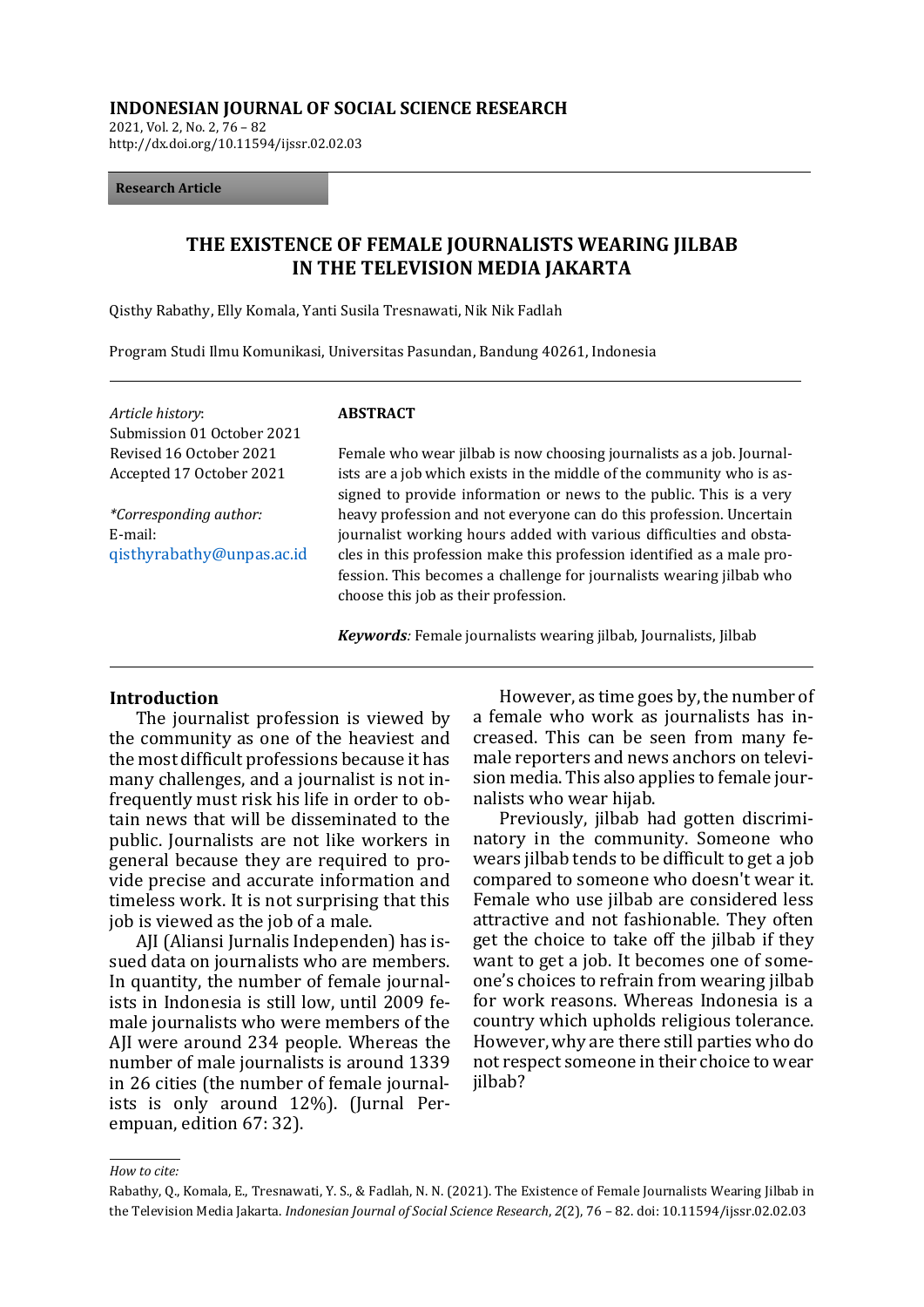#### **INDONESIAN JOURNAL OF SOCIAL SCIENCE RESEARCH**

2021, Vol. 2, No. 2, 76 – 82 http://dx.doi.org/10.11594/ijssr.02.02.03

#### **Research Article**

## **THE EXISTENCE OF FEMALE JOURNALISTS WEARING JILBAB IN THE TELEVISION MEDIA JAKARTA**

Qisthy Rabathy, Elly Komala, Yanti Susila Tresnawati, Nik Nik Fadlah

Program Studi Ilmu Komunikasi, Universitas Pasundan, Bandung 40261, Indonesia

| Article history:<br>Submission 01 October 2021                        | <b>ABSTRACT</b>                                                                                                                                                                                                                                                                                                                      |
|-----------------------------------------------------------------------|--------------------------------------------------------------------------------------------------------------------------------------------------------------------------------------------------------------------------------------------------------------------------------------------------------------------------------------|
| Revised 16 October 2021                                               | Female who wear jilbab is now choosing journalists as a job. Journal-                                                                                                                                                                                                                                                                |
| Accepted 17 October 2021                                              | ists are a job which exists in the middle of the community who is as-<br>signed to provide information or news to the public. This is a very                                                                                                                                                                                         |
| <i>*Corresponding author:</i><br>E-mail:<br>qisthyrabathy@unpas.ac.id | heavy profession and not everyone can do this profession. Uncertain<br>journalist working hours added with various difficulties and obsta-<br>cles in this profession make this profession identified as a male pro-<br>fession. This becomes a challenge for journalists wearing jilbab who<br>choose this job as their profession. |

*Keywords:* Female journalists wearing jilbab, Journalists, Jilbab

#### **Introduction**

The journalist profession is viewed by the community as one of the heaviest and the most difficult professions because it has many challenges, and a journalist is not infrequently must risk his life in order to obtain news that will be disseminated to the public. Journalists are not like workers in general because they are required to provide precise and accurate information and timeless work. It is not surprising that this job is viewed as the job of a male.

AJI (Aliansi Jurnalis Independen) has issued data on journalists who are members. In quantity, the number of female journalists in Indonesia is still low, until 2009 female journalists who were members of the AJI were around 234 people. Whereas the number of male journalists is around 1339 in 26 cities (the number of female journalists is only around 12%). (Jurnal Perempuan, edition 67: 32).

However, as time goes by, the number of a female who work as journalists has increased. This can be seen from many female reporters and news anchors on television media. This also applies to female journalists who wear hijab.

Previously, jilbab had gotten discriminatory in the community. Someone who wears jilbab tends to be difficult to get a job compared to someone who doesn't wear it. Female who use jilbab are considered less attractive and not fashionable. They often get the choice to take off the jilbab if they want to get a job. It becomes one of someone's choices to refrain from wearing jilbab for work reasons. Whereas Indonesia is a country which upholds religious tolerance. However, why are there still parties who do not respect someone in their choice to wear jilbab?

*How to cite:*

Rabathy, Q., Komala, E., Tresnawati, Y. S., & Fadlah, N. N. (2021). The Existence of Female Journalists Wearing Jilbab in the Television Media Jakarta. *Indonesian Journal of Social Science Research*, *2*(2), 76 – 82. doi: 10.11594/ijssr.02.02.03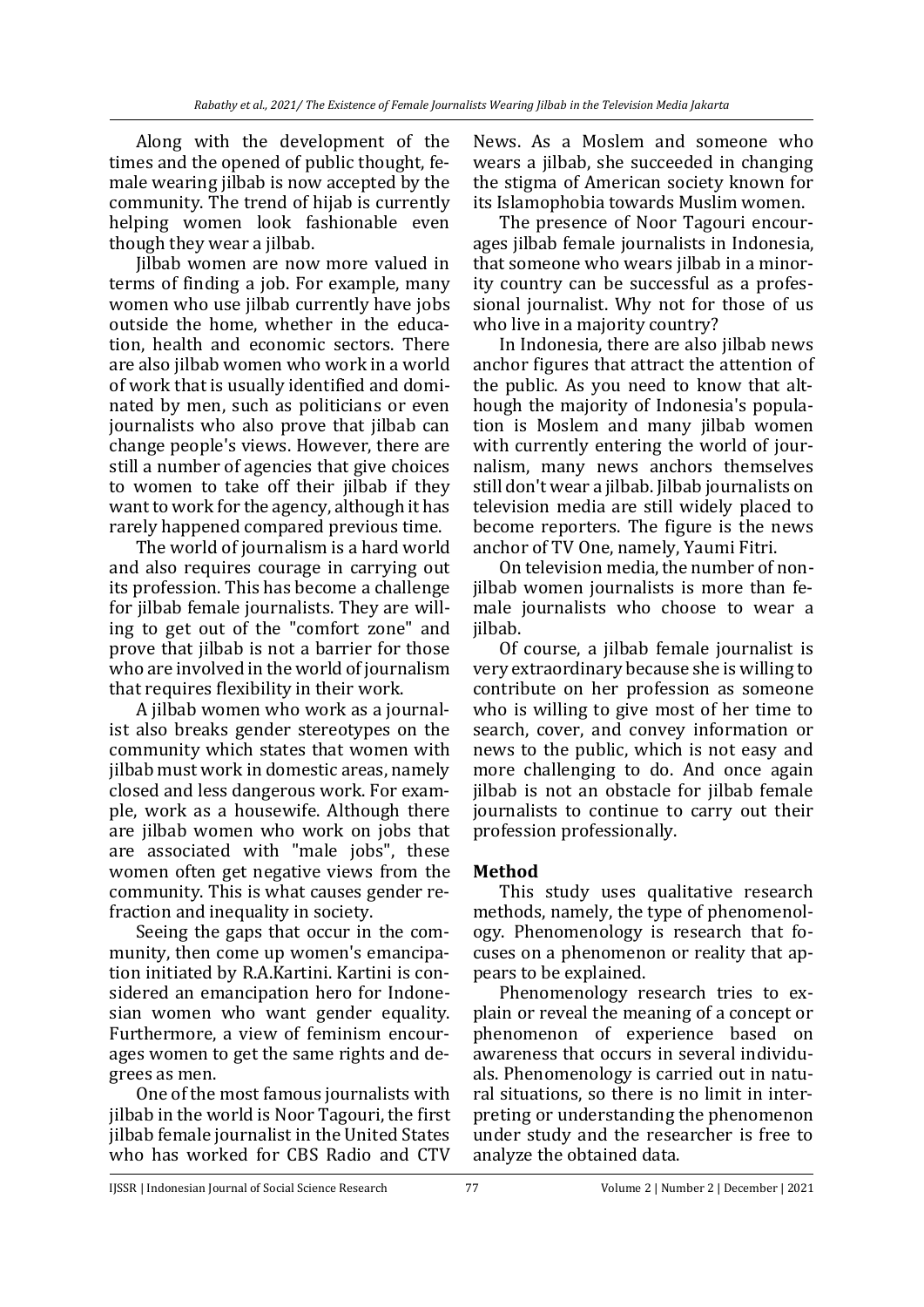Along with the development of the times and the opened of public thought, female wearing jilbab is now accepted by the community. The trend of hijab is currently helping women look fashionable even though they wear a jilbab.

Jilbab women are now more valued in terms of finding a job. For example, many women who use jilbab currently have jobs outside the home, whether in the education, health and economic sectors. There are also jilbab women who work in a world of work that is usually identified and dominated by men, such as politicians or even journalists who also prove that jilbab can change people's views. However, there are still a number of agencies that give choices to women to take off their jilbab if they want to work for the agency, although it has rarely happened compared previous time.

The world of journalism is a hard world and also requires courage in carrying out its profession. This has become a challenge for jilbab female journalists. They are willing to get out of the "comfort zone" and prove that jilbab is not a barrier for those who are involved in the world of journalism that requires flexibility in their work.

A jilbab women who work as a journalist also breaks gender stereotypes on the community which states that women with jilbab must work in domestic areas, namely closed and less dangerous work. For example, work as a housewife. Although there are jilbab women who work on jobs that are associated with "male jobs", these women often get negative views from the community. This is what causes gender refraction and inequality in society.

Seeing the gaps that occur in the community, then come up women's emancipation initiated by R.A.Kartini. Kartini is considered an emancipation hero for Indonesian women who want gender equality. Furthermore, a view of feminism encourages women to get the same rights and degrees as men.

One of the most famous journalists with jilbab in the world is Noor Tagouri, the first jilbab female journalist in the United States who has worked for CBS Radio and CTV News. As a Moslem and someone who wears a jilbab, she succeeded in changing the stigma of American society known for its Islamophobia towards Muslim women.

The presence of Noor Tagouri encourages jilbab female journalists in Indonesia, that someone who wears jilbab in a minority country can be successful as a professional journalist. Why not for those of us who live in a majority country?

In Indonesia, there are also jilbab news anchor figures that attract the attention of the public. As you need to know that although the majority of Indonesia's population is Moslem and many jilbab women with currently entering the world of journalism, many news anchors themselves still don't wear a jilbab. Jilbab journalists on television media are still widely placed to become reporters. The figure is the news anchor of TV One, namely, Yaumi Fitri.

On television media, the number of nonjilbab women journalists is more than female journalists who choose to wear a jilbab.

Of course, a jilbab female journalist is very extraordinary because she is willing to contribute on her profession as someone who is willing to give most of her time to search, cover, and convey information or news to the public, which is not easy and more challenging to do. And once again jilbab is not an obstacle for jilbab female journalists to continue to carry out their profession professionally.

# **Method**

This study uses qualitative research methods, namely, the type of phenomenology. Phenomenology is research that focuses on a phenomenon or reality that appears to be explained.

Phenomenology research tries to explain or reveal the meaning of a concept or phenomenon of experience based on awareness that occurs in several individuals. Phenomenology is carried out in natural situations, so there is no limit in interpreting or understanding the phenomenon under study and the researcher is free to analyze the obtained data.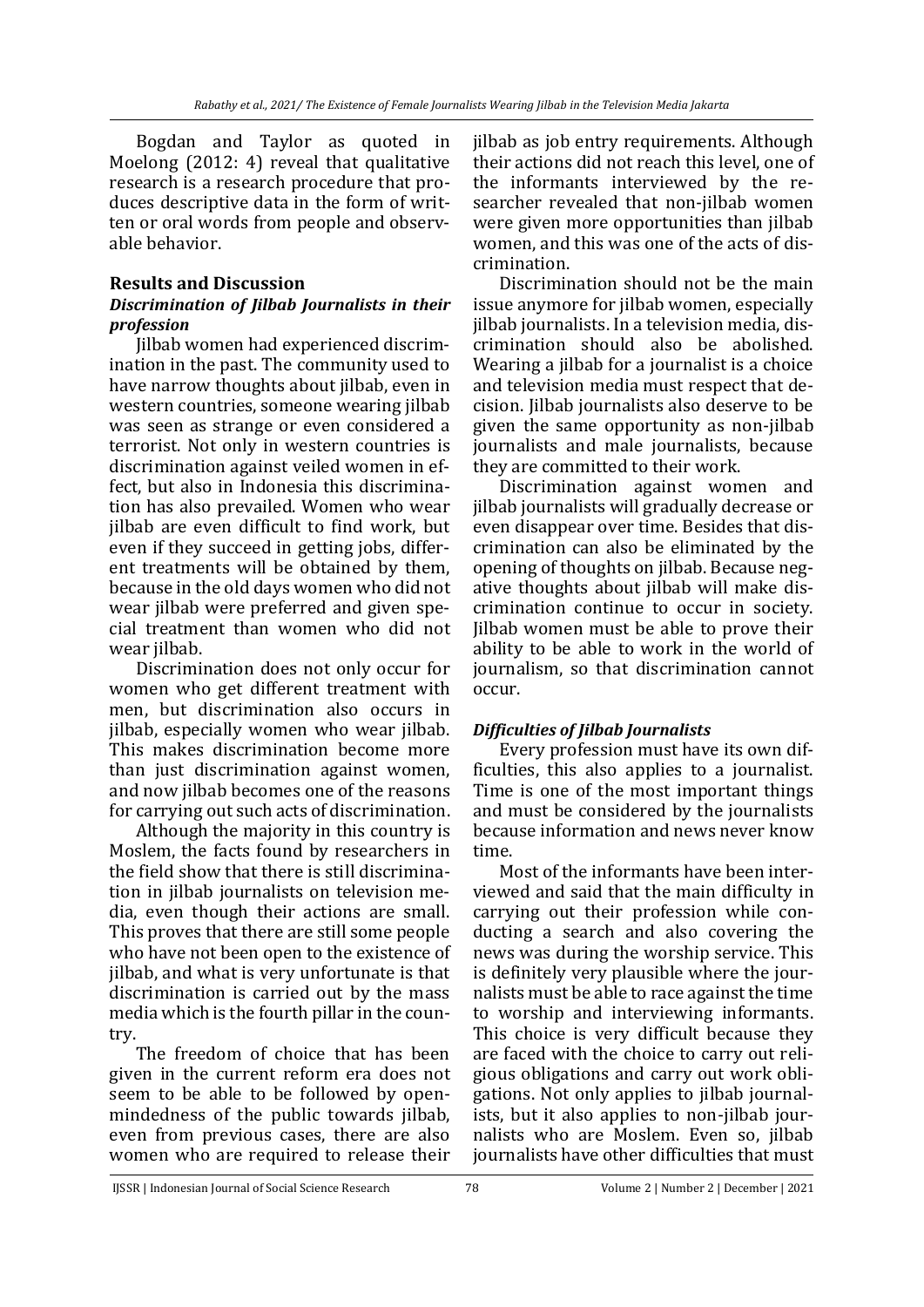Bogdan and Taylor as quoted in Moelong (2012: 4) reveal that qualitative research is a research procedure that produces descriptive data in the form of written or oral words from people and observable behavior.

# **Results and Discussion**

### *Discrimination of Jilbab Journalists in their profession*

Jilbab women had experienced discrimination in the past. The community used to have narrow thoughts about jilbab, even in western countries, someone wearing jilbab was seen as strange or even considered a terrorist. Not only in western countries is discrimination against veiled women in effect, but also in Indonesia this discrimination has also prevailed. Women who wear jilbab are even difficult to find work, but even if they succeed in getting jobs, different treatments will be obtained by them, because in the old days women who did not wear jilbab were preferred and given special treatment than women who did not wear *i*ilbab.

Discrimination does not only occur for women who get different treatment with men, but discrimination also occurs in jilbab, especially women who wear jilbab. This makes discrimination become more than just discrimination against women, and now jilbab becomes one of the reasons for carrying out such acts of discrimination.

Although the majority in this country is Moslem, the facts found by researchers in the field show that there is still discrimination in jilbab journalists on television media, even though their actions are small. This proves that there are still some people who have not been open to the existence of jilbab, and what is very unfortunate is that discrimination is carried out by the mass media which is the fourth pillar in the country.

The freedom of choice that has been given in the current reform era does not seem to be able to be followed by openmindedness of the public towards jilbab, even from previous cases, there are also women who are required to release their jilbab as job entry requirements. Although their actions did not reach this level, one of the informants interviewed by the researcher revealed that non-jilbab women were given more opportunities than jilbab women, and this was one of the acts of discrimination.

Discrimination should not be the main issue anymore for jilbab women, especially jilbab journalists. In a television media, discrimination should also be abolished. Wearing a jilbab for a journalist is a choice and television media must respect that decision. Jilbab journalists also deserve to be given the same opportunity as non-jilbab journalists and male journalists, because they are committed to their work.

Discrimination against women and jilbab journalists will gradually decrease or even disappear over time. Besides that discrimination can also be eliminated by the opening of thoughts on jilbab. Because negative thoughts about jilbab will make discrimination continue to occur in society. Jilbab women must be able to prove their ability to be able to work in the world of journalism, so that discrimination cannot occur.

# *Difficulties of Jilbab Journalists*

Every profession must have its own difficulties, this also applies to a journalist. Time is one of the most important things and must be considered by the journalists because information and news never know time.

Most of the informants have been interviewed and said that the main difficulty in carrying out their profession while conducting a search and also covering the news was during the worship service. This is definitely very plausible where the journalists must be able to race against the time to worship and interviewing informants. This choice is very difficult because they are faced with the choice to carry out religious obligations and carry out work obligations. Not only applies to jilbab journalists, but it also applies to non-jilbab journalists who are Moslem. Even so, jilbab journalists have other difficulties that must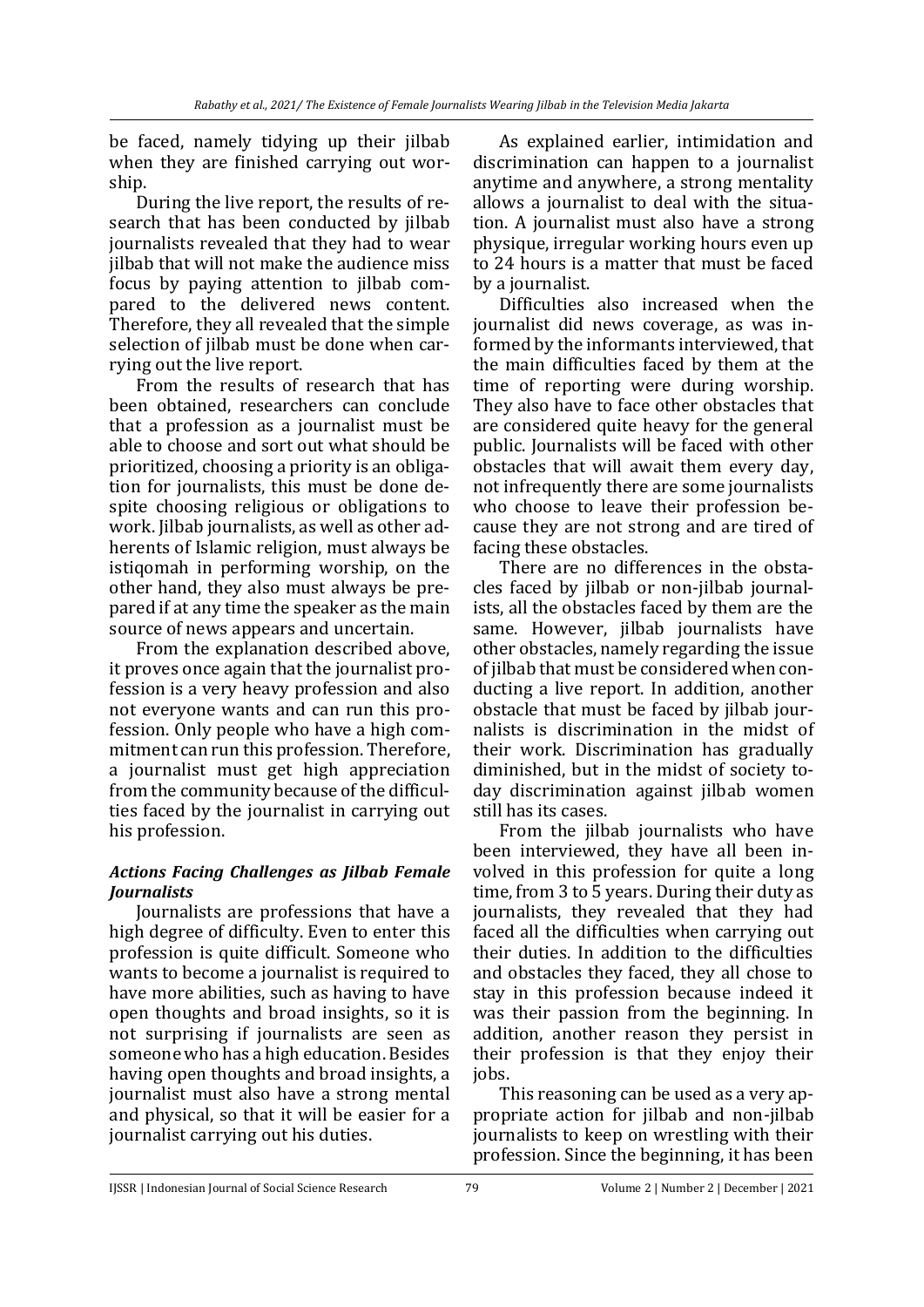be faced, namely tidying up their jilbab when they are finished carrying out worship.

During the live report, the results of research that has been conducted by jilbab journalists revealed that they had to wear jilbab that will not make the audience miss focus by paying attention to jilbab compared to the delivered news content. Therefore, they all revealed that the simple selection of jilbab must be done when carrying out the live report.

From the results of research that has been obtained, researchers can conclude that a profession as a journalist must be able to choose and sort out what should be prioritized, choosing a priority is an obligation for journalists, this must be done despite choosing religious or obligations to work. Jilbab journalists, as well as other adherents of Islamic religion, must always be istiqomah in performing worship, on the other hand, they also must always be prepared if at any time the speaker as the main source of news appears and uncertain.

From the explanation described above, it proves once again that the journalist profession is a very heavy profession and also not everyone wants and can run this profession. Only people who have a high commitment can run this profession. Therefore, a journalist must get high appreciation from the community because of the difficulties faced by the journalist in carrying out his profession.

## *Actions Facing Challenges as Jilbab Female Journalists*

Journalists are professions that have a high degree of difficulty. Even to enter this profession is quite difficult. Someone who wants to become a journalist is required to have more abilities, such as having to have open thoughts and broad insights, so it is not surprising if journalists are seen as someone who has a high education. Besides having open thoughts and broad insights, a journalist must also have a strong mental and physical, so that it will be easier for a journalist carrying out his duties.

As explained earlier, intimidation and discrimination can happen to a journalist anytime and anywhere, a strong mentality allows a journalist to deal with the situation. A journalist must also have a strong physique, irregular working hours even up to 24 hours is a matter that must be faced by a journalist.

Difficulties also increased when the journalist did news coverage, as was informed by the informants interviewed, that the main difficulties faced by them at the time of reporting were during worship. They also have to face other obstacles that are considered quite heavy for the general public. Journalists will be faced with other obstacles that will await them every day, not infrequently there are some journalists who choose to leave their profession because they are not strong and are tired of facing these obstacles.

There are no differences in the obstacles faced by jilbab or non-jilbab journalists, all the obstacles faced by them are the same. However, jilbab journalists have other obstacles, namely regarding the issue of jilbab that must be considered when conducting a live report. In addition, another obstacle that must be faced by jilbab journalists is discrimination in the midst of their work. Discrimination has gradually diminished, but in the midst of society today discrimination against jilbab women still has its cases.

From the jilbab journalists who have been interviewed, they have all been involved in this profession for quite a long time, from 3 to 5 years. During their duty as journalists, they revealed that they had faced all the difficulties when carrying out their duties. In addition to the difficulties and obstacles they faced, they all chose to stay in this profession because indeed it was their passion from the beginning. In addition, another reason they persist in their profession is that they enjoy their jobs.

This reasoning can be used as a very appropriate action for jilbab and non-jilbab journalists to keep on wrestling with their profession. Since the beginning, it has been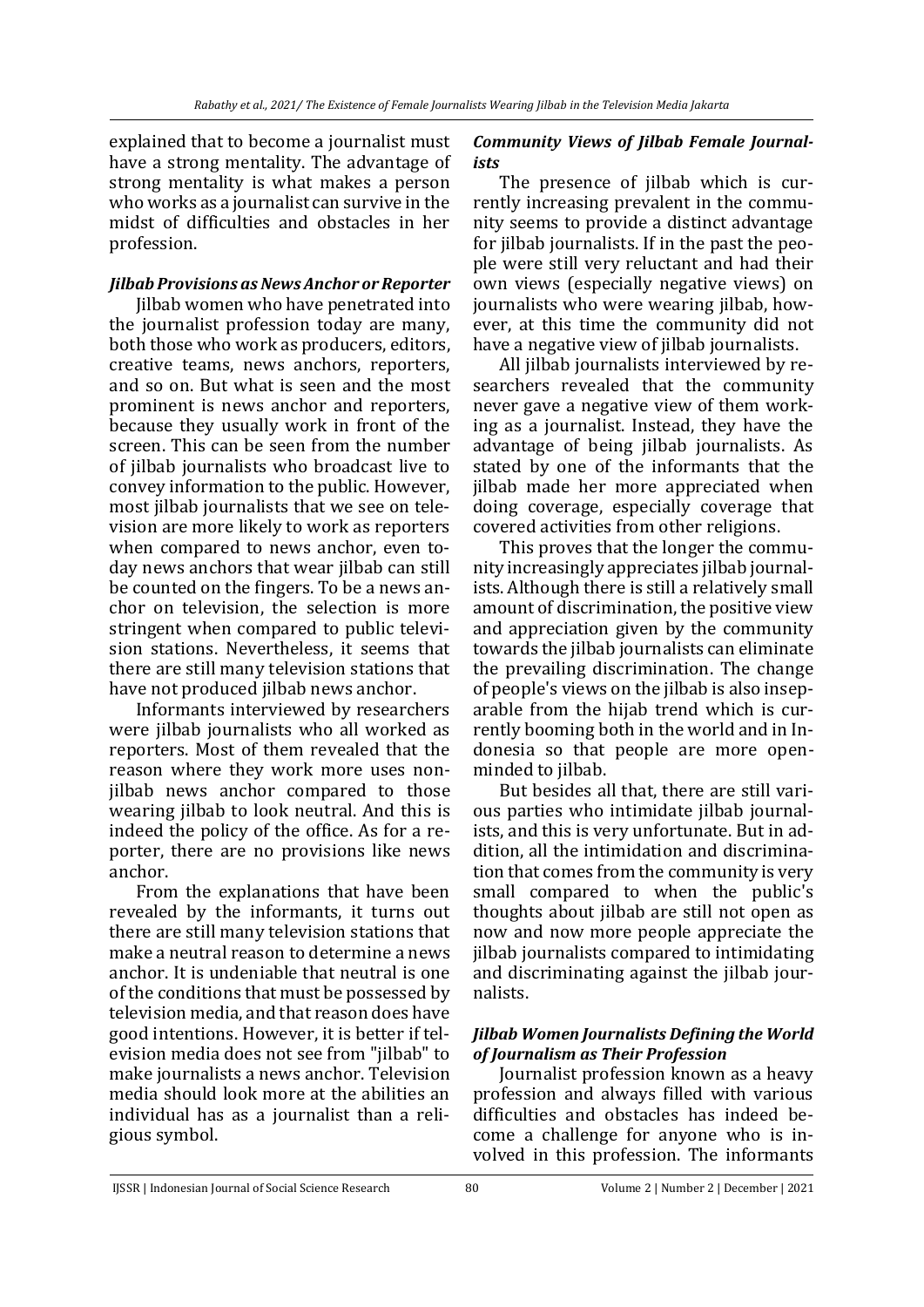explained that to become a journalist must have a strong mentality. The advantage of strong mentality is what makes a person who works as a journalist can survive in the midst of difficulties and obstacles in her profession.

### *Jilbab Provisions as News Anchor or Reporter*

Jilbab women who have penetrated into the journalist profession today are many, both those who work as producers, editors, creative teams, news anchors, reporters, and so on. But what is seen and the most prominent is news anchor and reporters, because they usually work in front of the screen. This can be seen from the number of jilbab journalists who broadcast live to convey information to the public. However, most jilbab journalists that we see on television are more likely to work as reporters when compared to news anchor, even today news anchors that wear jilbab can still be counted on the fingers. To be a news anchor on television, the selection is more stringent when compared to public television stations. Nevertheless, it seems that there are still many television stations that have not produced jilbab news anchor.

Informants interviewed by researchers were jilbab journalists who all worked as reporters. Most of them revealed that the reason where they work more uses nonjilbab news anchor compared to those wearing jilbab to look neutral. And this is indeed the policy of the office. As for a reporter, there are no provisions like news anchor.

From the explanations that have been revealed by the informants, it turns out there are still many television stations that make a neutral reason to determine a news anchor. It is undeniable that neutral is one of the conditions that must be possessed by television media, and that reason does have good intentions. However, it is better if television media does not see from "jilbab" to make journalists a news anchor. Television media should look more at the abilities an individual has as a journalist than a religious symbol.

## *Community Views of Jilbab Female Journalists*

The presence of jilbab which is currently increasing prevalent in the community seems to provide a distinct advantage for jilbab journalists. If in the past the people were still very reluctant and had their own views (especially negative views) on journalists who were wearing jilbab, however, at this time the community did not have a negative view of jilbab journalists.

All jilbab journalists interviewed by researchers revealed that the community never gave a negative view of them working as a journalist. Instead, they have the advantage of being jilbab journalists. As stated by one of the informants that the jilbab made her more appreciated when doing coverage, especially coverage that covered activities from other religions.

This proves that the longer the community increasingly appreciates jilbab journalists. Although there is still a relatively small amount of discrimination, the positive view and appreciation given by the community towards the jilbab journalists can eliminate the prevailing discrimination. The change of people's views on the jilbab is also inseparable from the hijab trend which is currently booming both in the world and in Indonesia so that people are more openminded to jilbab.

But besides all that, there are still various parties who intimidate jilbab journalists, and this is very unfortunate. But in addition, all the intimidation and discrimination that comes from the community is very small compared to when the public's thoughts about jilbab are still not open as now and now more people appreciate the jilbab journalists compared to intimidating and discriminating against the jilbab journalists.

### *Jilbab Women Journalists Defining the World of Journalism as Their Profession*

Journalist profession known as a heavy profession and always filled with various difficulties and obstacles has indeed become a challenge for anyone who is involved in this profession. The informants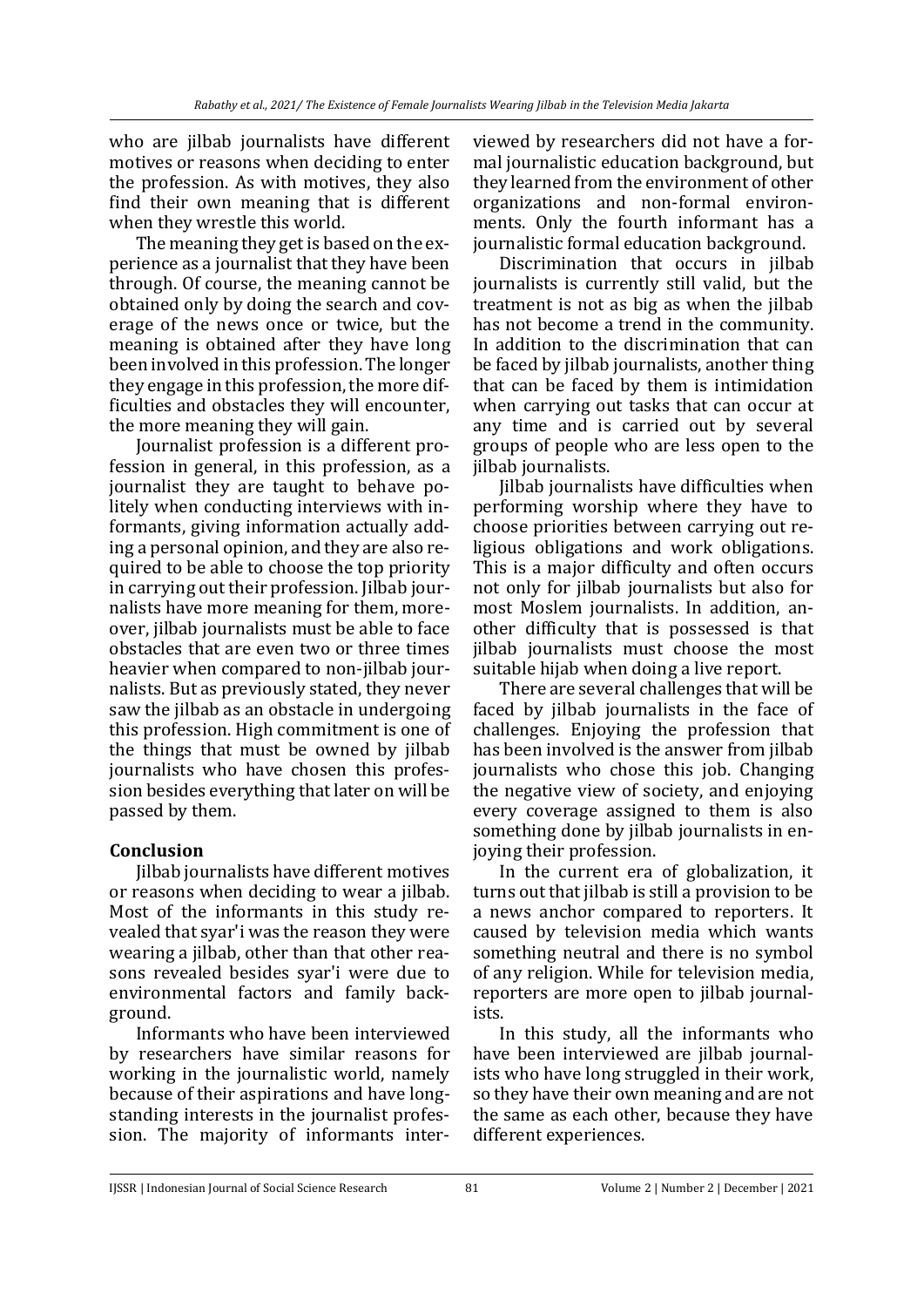who are jilbab journalists have different motives or reasons when deciding to enter the profession. As with motives, they also find their own meaning that is different when they wrestle this world.

The meaning they get is based on the experience as a journalist that they have been through. Of course, the meaning cannot be obtained only by doing the search and coverage of the news once or twice, but the meaning is obtained after they have long been involved in this profession. The longer they engage in this profession, the more difficulties and obstacles they will encounter, the more meaning they will gain.

Journalist profession is a different profession in general, in this profession, as a journalist they are taught to behave politely when conducting interviews with informants, giving information actually adding a personal opinion, and they are also required to be able to choose the top priority in carrying out their profession. Jilbab journalists have more meaning for them, moreover, jilbab journalists must be able to face obstacles that are even two or three times heavier when compared to non-jilbab journalists. But as previously stated, they never saw the jilbab as an obstacle in undergoing this profession. High commitment is one of the things that must be owned by jilbab journalists who have chosen this profession besides everything that later on will be passed by them.

### **Conclusion**

Jilbab journalists have different motives or reasons when deciding to wear a jilbab. Most of the informants in this study revealed that syar'i was the reason they were wearing a jilbab, other than that other reasons revealed besides syar'i were due to environmental factors and family background.

Informants who have been interviewed by researchers have similar reasons for working in the journalistic world, namely because of their aspirations and have longstanding interests in the journalist profession. The majority of informants interviewed by researchers did not have a formal journalistic education background, but they learned from the environment of other organizations and non-formal environments. Only the fourth informant has a journalistic formal education background.

Discrimination that occurs in jilbab journalists is currently still valid, but the treatment is not as big as when the jilbab has not become a trend in the community. In addition to the discrimination that can be faced by jilbab journalists, another thing that can be faced by them is intimidation when carrying out tasks that can occur at any time and is carried out by several groups of people who are less open to the jilbab journalists.

Jilbab journalists have difficulties when performing worship where they have to choose priorities between carrying out religious obligations and work obligations. This is a major difficulty and often occurs not only for jilbab journalists but also for most Moslem journalists. In addition, another difficulty that is possessed is that jilbab journalists must choose the most suitable hijab when doing a live report.

There are several challenges that will be faced by jilbab journalists in the face of challenges. Enjoying the profession that has been involved is the answer from jilbab journalists who chose this job. Changing the negative view of society, and enjoying every coverage assigned to them is also something done by jilbab journalists in enjoying their profession.

In the current era of globalization, it turns out that jilbab is still a provision to be a news anchor compared to reporters. It caused by television media which wants something neutral and there is no symbol of any religion. While for television media, reporters are more open to jilbab journalists.

In this study, all the informants who have been interviewed are jilbab journalists who have long struggled in their work, so they have their own meaning and are not the same as each other, because they have different experiences.